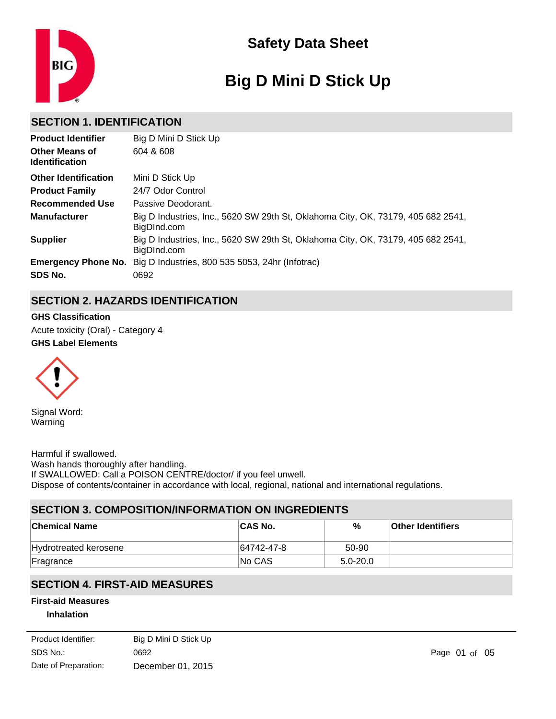

# **Big D Mini D Stick Up**

# **SECTION 1. IDENTIFICATION**

| <b>Product Identifier</b>                      | Big D Mini D Stick Up                                                                           |
|------------------------------------------------|-------------------------------------------------------------------------------------------------|
| <b>Other Means of</b><br><b>Identification</b> | 604 & 608                                                                                       |
| <b>Other Identification</b>                    | Mini D Stick Up                                                                                 |
| <b>Product Family</b>                          | 24/7 Odor Control                                                                               |
| <b>Recommended Use</b>                         | Passive Deodorant.                                                                              |
| <b>Manufacturer</b>                            | Big D Industries, Inc., 5620 SW 29th St, Oklahoma City, OK, 73179, 405 682 2541,<br>BigDInd.com |
| <b>Supplier</b>                                | Big D Industries, Inc., 5620 SW 29th St, Oklahoma City, OK, 73179, 405 682 2541,<br>BigDInd.com |
| <b>Emergency Phone No.</b>                     | Big D Industries, 800 535 5053, 24hr (Infotrac)                                                 |
| SDS No.                                        | 0692                                                                                            |

# **SECTION 2. HAZARDS IDENTIFICATION**

**GHS Label Elements GHS Classification** Acute toxicity (Oral) - Category 4



Signal Word: Warning

Harmful if swallowed. Wash hands thoroughly after handling. If SWALLOWED: Call a POISON CENTRE/doctor/ if you feel unwell. Dispose of contents/container in accordance with local, regional, national and international regulations.

# **SECTION 3. COMPOSITION/INFORMATION ON INGREDIENTS**

Move to fresh air. Call a Poison Centre or doctor if you feel unwell or are concerned.

| <b>Chemical Name</b>  | <b>CAS No.</b> | %            | <b>Other Identifiers</b> |
|-----------------------|----------------|--------------|--------------------------|
| Hydrotreated kerosene | 64742-47-8     | 50-90        |                          |
| Fragrance             | <b>No CAS</b>  | $5.0 - 20.0$ |                          |

# **SECTION 4. FIRST-AID MEASURES**

## **First-aid Measures**

## **Inhalation**

| Product Identifier:  | Big D Mini D Stick Up |
|----------------------|-----------------------|
| SDS No.:             | 0692                  |
| Date of Preparation: | December 01, 2015     |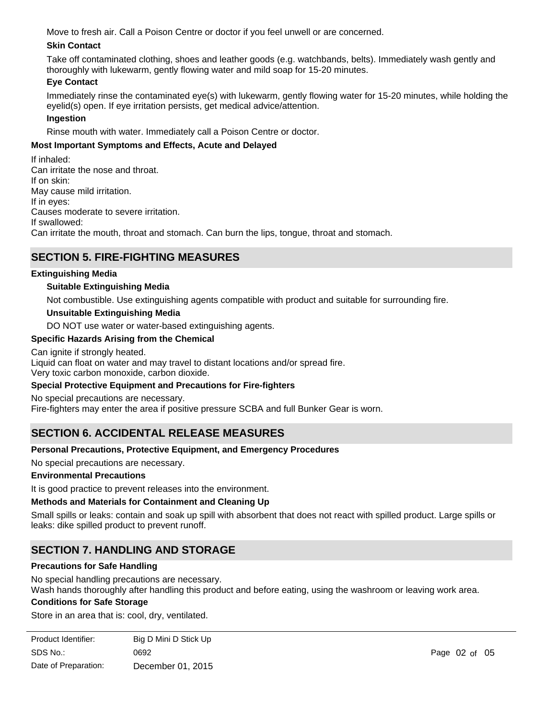Move to fresh air. Call a Poison Centre or doctor if you feel unwell or are concerned.

## **Skin Contact**

Take off contaminated clothing, shoes and leather goods (e.g. watchbands, belts). Immediately wash gently and thoroughly with lukewarm, gently flowing water and mild soap for 15-20 minutes.

## **Eye Contact**

Immediately rinse the contaminated eye(s) with lukewarm, gently flowing water for 15-20 minutes, while holding the eyelid(s) open. If eye irritation persists, get medical advice/attention.

## **Ingestion**

Rinse mouth with water. Immediately call a Poison Centre or doctor.

## **Most Important Symptoms and Effects, Acute and Delayed**

If inhaled: Can irritate the nose and throat. If on skin: May cause mild irritation. If in eyes: Causes moderate to severe irritation. If swallowed: Can irritate the mouth, throat and stomach. Can burn the lips, tongue, throat and stomach.

## **SECTION 5. FIRE-FIGHTING MEASURES**

## **Extinguishing Media**

## **Suitable Extinguishing Media**

Not combustible. Use extinguishing agents compatible with product and suitable for surrounding fire.

## **Unsuitable Extinguishing Media**

DO NOT use water or water-based extinguishing agents.

## **Specific Hazards Arising from the Chemical**

Can ignite if strongly heated.

Liquid can float on water and may travel to distant locations and/or spread fire.

Very toxic carbon monoxide, carbon dioxide.

## **Special Protective Equipment and Precautions for Fire-fighters**

No special precautions are necessary.

Fire-fighters may enter the area if positive pressure SCBA and full Bunker Gear is worn.

# **SECTION 6. ACCIDENTAL RELEASE MEASURES**

## **Personal Precautions, Protective Equipment, and Emergency Procedures**

No special precautions are necessary.

## **Environmental Precautions**

It is good practice to prevent releases into the environment.

#### **Methods and Materials for Containment and Cleaning Up**

Small spills or leaks: contain and soak up spill with absorbent that does not react with spilled product. Large spills or leaks: dike spilled product to prevent runoff.

# **SECTION 7. HANDLING AND STORAGE**

#### **Precautions for Safe Handling**

No special handling precautions are necessary.

Wash hands thoroughly after handling this product and before eating, using the washroom or leaving work area.

#### **Conditions for Safe Storage**

Store in an area that is: cool, dry, ventilated.

| Product Identifier:  | Big D Mini D Stick Up |
|----------------------|-----------------------|
| SDS No.:             | 0692                  |
| Date of Preparation: | December 01, 2015     |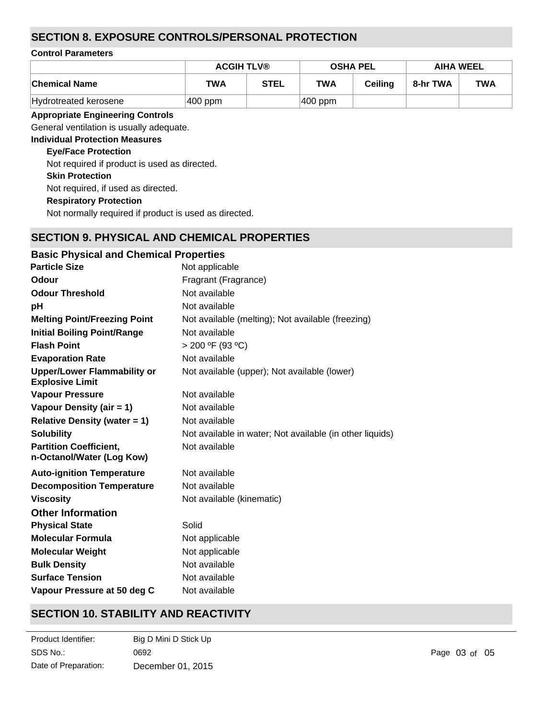# **SECTION 8. EXPOSURE CONTROLS/PERSONAL PROTECTION**

#### **Control Parameters**

|                       | <b>ACGIH TLV®</b> |      | <b>OSHA PEL</b> |                | <b>AIHA WEEL</b> |            |
|-----------------------|-------------------|------|-----------------|----------------|------------------|------------|
| <b>Chemical Name</b>  | <b>TWA</b>        | STEL | <b>TWA</b>      | <b>Ceiling</b> | 8-hr TWA         | <b>TWA</b> |
| Hydrotreated kerosene | $ 400$ ppm        |      | $ 400$ ppm      |                |                  |            |

## **Appropriate Engineering Controls**

General ventilation is usually adequate.

## **Individual Protection Measures**

## **Eye/Face Protection**

Not required if product is used as directed.

**Skin Protection**

Not required, if used as directed.

**Respiratory Protection**

Not normally required if product is used as directed.

# **SECTION 9. PHYSICAL AND CHEMICAL PROPERTIES**

| <b>Basic Physical and Chemical Properties</b>            |
|----------------------------------------------------------|
| Not applicable                                           |
| Fragrant (Fragrance)                                     |
| Not available                                            |
| Not available                                            |
| Not available (melting); Not available (freezing)        |
| Not available                                            |
| $> 200$ °F (93 °C)                                       |
| Not available                                            |
| Not available (upper); Not available (lower)             |
| Not available                                            |
| Not available                                            |
| Not available                                            |
| Not available in water; Not available (in other liquids) |
| Not available                                            |
| Not available                                            |
| Not available                                            |
| Not available (kinematic)                                |
|                                                          |
| Solid                                                    |
| Not applicable                                           |
| Not applicable                                           |
| Not available                                            |
| Not available                                            |
| Not available                                            |
|                                                          |

# **SECTION 10. STABILITY AND REACTIVITY**

| Product Identifier:  | Big D Mini D Stick Up |
|----------------------|-----------------------|
| SDS No.:             | 0692                  |
| Date of Preparation: | December 01, 2015     |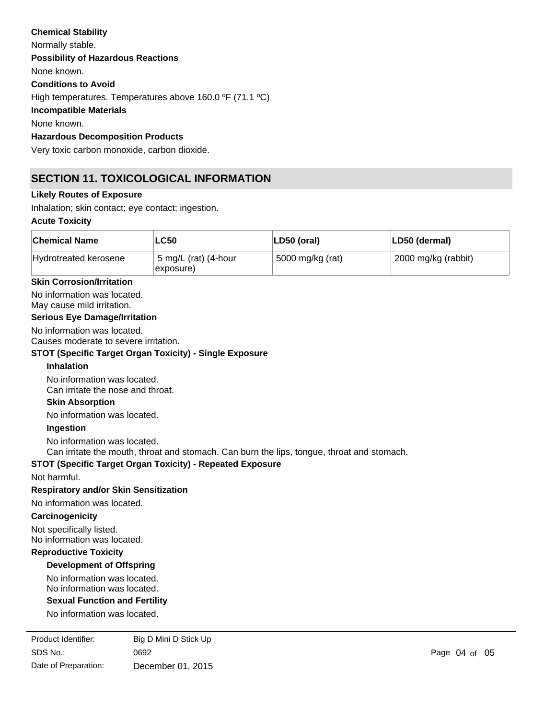## **Chemical Stability**

Normally stable. **Conditions to Avoid** High temperatures. Temperatures above 160.0 ºF (71.1 ºC) **Incompatible Materials** None known. **Hazardous Decomposition Products Possibility of Hazardous Reactions** None known.

Very toxic carbon monoxide, carbon dioxide.

# **SECTION 11. TOXICOLOGICAL INFORMATION**

## **Likely Routes of Exposure**

Inhalation; skin contact; eye contact; ingestion.

## **Acute Toxicity**

| <b>Chemical Name</b>  | LC50                              | LD50 (oral)      | LD50 (dermal)       |
|-----------------------|-----------------------------------|------------------|---------------------|
| Hydrotreated kerosene | 5 mg/L (rat) (4-hour<br>exposure) | 5000 mg/kg (rat) | 2000 mg/kg (rabbit) |

#### **Skin Corrosion/Irritation**

No information was located. May cause mild irritation.

#### **Serious Eye Damage/Irritation**

No information was located.

Causes moderate to severe irritation.

#### **STOT (Specific Target Organ Toxicity) - Single Exposure**

## **Inhalation**

No information was located. Can irritate the nose and throat.

#### **Skin Absorption**

No information was located.

#### **Ingestion**

No information was located.

Can irritate the mouth, throat and stomach. Can burn the lips, tongue, throat and stomach.

## **STOT (Specific Target Organ Toxicity) - Repeated Exposure**

Not harmful.

#### **Respiratory and/or Skin Sensitization**

No information was located.

## **Carcinogenicity**

Not specifically listed.

No information was located.

## **Reproductive Toxicity**

## **Development of Offspring**

No information was located. No information was located.

#### **Sexual Function and Fertility**

No information was located.

SDS No.: Date of Preparation: 0692 **Page 04 of 05** December 01, 2015 Product Identifier: Big D Mini D Stick Up